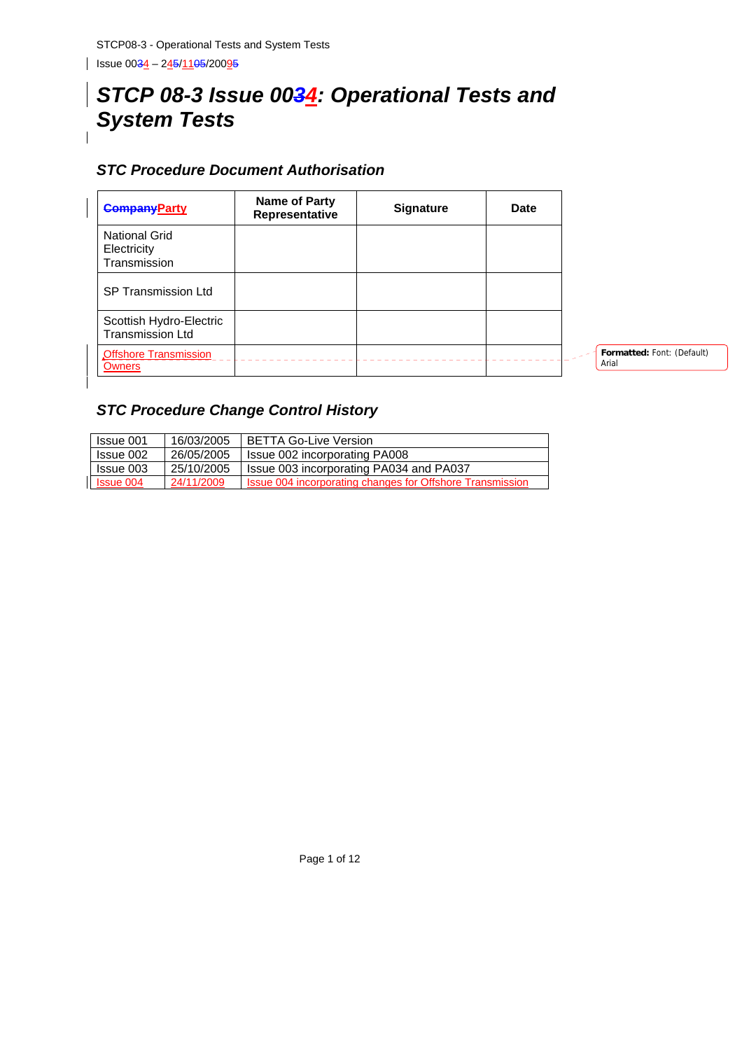# *STCP 08-3 Issue 0034: Operational Tests and System Tests*

# *STC Procedure Document Authorisation*

| <b>CompanyParty</b>                                 | Name of Party<br>Representative | <b>Signature</b> | <b>Date</b> |                                     |
|-----------------------------------------------------|---------------------------------|------------------|-------------|-------------------------------------|
| <b>National Grid</b><br>Electricity<br>Transmission |                                 |                  |             |                                     |
| <b>SP Transmission Ltd</b>                          |                                 |                  |             |                                     |
| Scottish Hydro-Electric<br><b>Transmission Ltd</b>  |                                 |                  |             |                                     |
| <b>Offshore Transmission</b><br><b>Owners</b>       |                                 |                  |             | Formatted: Font: (Default)<br>Arial |

# *STC Procedure Change Control History*

| Issue 001        | 16/03/2005 | <b>BETTA Go-Live Version</b>                              |
|------------------|------------|-----------------------------------------------------------|
| Issue 002        | 26/05/2005 | Issue 002 incorporating PA008                             |
| Issue 003        | 25/10/2005 | Issue 003 incorporating PA034 and PA037                   |
| <b>Issue 004</b> | 24/11/2009 | Issue 004 incorporating changes for Offshore Transmission |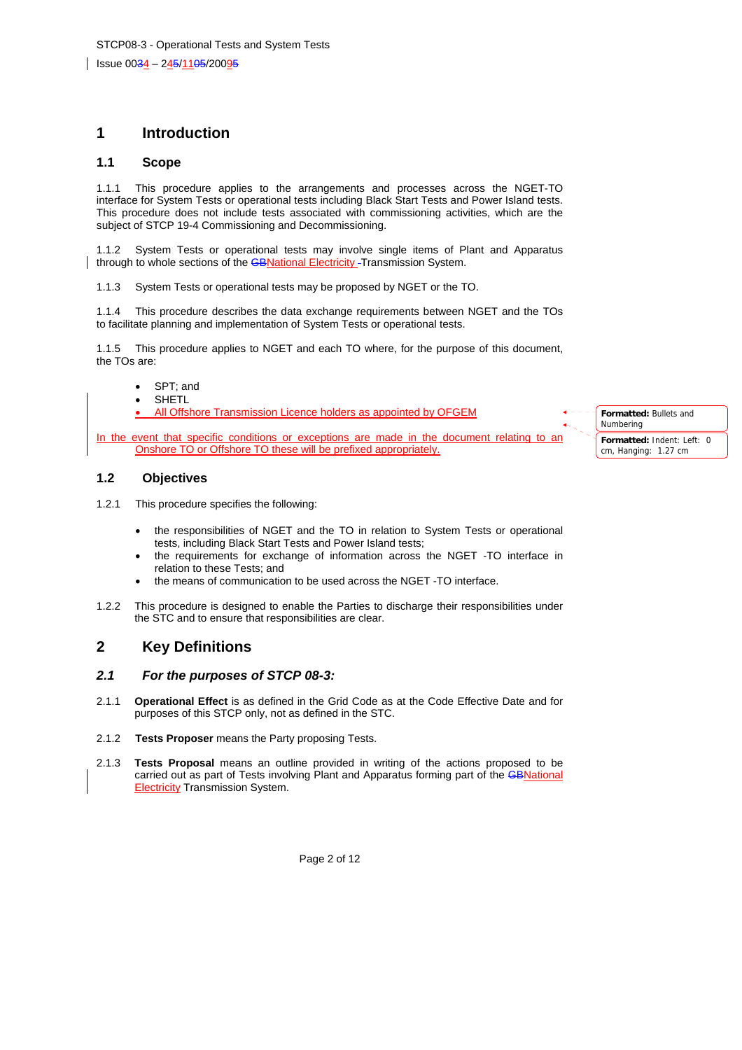# **1 Introduction**

#### **1.1 Scope**

1.1.1 This procedure applies to the arrangements and processes across the NGET-TO interface for System Tests or operational tests including Black Start Tests and Power Island tests. This procedure does not include tests associated with commissioning activities, which are the subject of STCP 19-4 Commissioning and Decommissioning.

1.1.2 System Tests or operational tests may involve single items of Plant and Apparatus through to whole sections of the **GBNational Electricity** - Transmission System.

1.1.3 System Tests or operational tests may be proposed by NGET or the TO.

1.1.4 This procedure describes the data exchange requirements between NGET and the TOs to facilitate planning and implementation of System Tests or operational tests.

1.1.5 This procedure applies to NGET and each TO where, for the purpose of this document, the TOs are:

- SPT; and
- **SHETL**

• All Offshore Transmission Licence holders as appointed by OFGEM

In the event that specific conditions or exceptions are made in the document relating to an Onshore TO or Offshore TO these will be prefixed appropriately.

#### **1.2 Objectives**

- 1.2.1 This procedure specifies the following:
	- the responsibilities of NGET and the TO in relation to System Tests or operational tests, including Black Start Tests and Power Island tests;
	- the requirements for exchange of information across the NGET -TO interface in relation to these Tests; and
	- the means of communication to be used across the NGET -TO interface.
- 1.2.2 This procedure is designed to enable the Parties to discharge their responsibilities under the STC and to ensure that responsibilities are clear.

# **2 Key Definitions**

#### *2.1 For the purposes of STCP 08-3:*

- 2.1.1 **Operational Effect** is as defined in the Grid Code as at the Code Effective Date and for purposes of this STCP only, not as defined in the STC.
- 2.1.2 **Tests Proposer** means the Party proposing Tests.
- 2.1.3 **Tests Proposal** means an outline provided in writing of the actions proposed to be carried out as part of Tests involving Plant and Apparatus forming part of the GBNational Electricity Transmission System.

**Formatted:** Bullets and Numbering **Formatted:** Indent: Left: 0

cm, Hanging: 1.27 cm

Page 2 of 12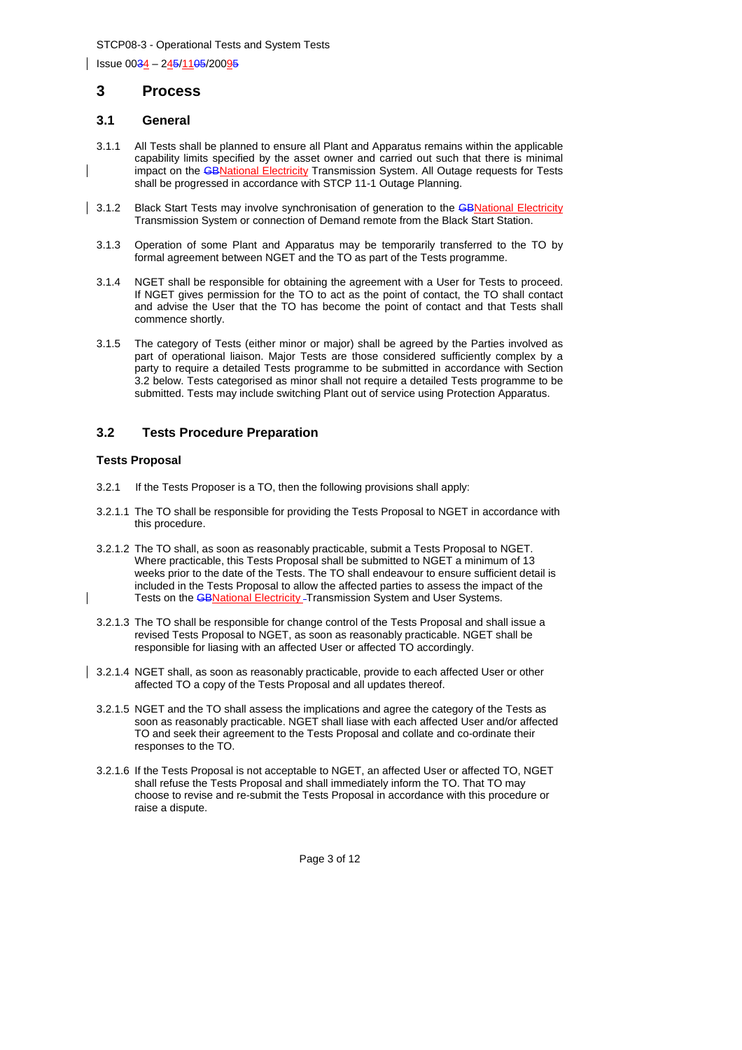## **3 Process**

### **3.1 General**

- 3.1.1 All Tests shall be planned to ensure all Plant and Apparatus remains within the applicable capability limits specified by the asset owner and carried out such that there is minimal impact on the **GBNational Electricity Transmission System.** All Outage requests for Tests shall be progressed in accordance with STCP 11-1 Outage Planning.
- 3.1.2 Black Start Tests may involve synchronisation of generation to the GBNational Electricity Transmission System or connection of Demand remote from the Black Start Station.
	- 3.1.3 Operation of some Plant and Apparatus may be temporarily transferred to the TO by formal agreement between NGET and the TO as part of the Tests programme.
	- 3.1.4 NGET shall be responsible for obtaining the agreement with a User for Tests to proceed. If NGET gives permission for the TO to act as the point of contact, the TO shall contact and advise the User that the TO has become the point of contact and that Tests shall commence shortly.
	- 3.1.5 The category of Tests (either minor or major) shall be agreed by the Parties involved as part of operational liaison. Major Tests are those considered sufficiently complex by a party to require a detailed Tests programme to be submitted in accordance with Section 3.2 below. Tests categorised as minor shall not require a detailed Tests programme to be submitted. Tests may include switching Plant out of service using Protection Apparatus.

### **3.2 Tests Procedure Preparation**

#### **Tests Proposal**

- 3.2.1 If the Tests Proposer is a TO, then the following provisions shall apply:
- 3.2.1.1 The TO shall be responsible for providing the Tests Proposal to NGET in accordance with this procedure.
- 3.2.1.2 The TO shall, as soon as reasonably practicable, submit a Tests Proposal to NGET. Where practicable, this Tests Proposal shall be submitted to NGET a minimum of 13 weeks prior to the date of the Tests. The TO shall endeavour to ensure sufficient detail is included in the Tests Proposal to allow the affected parties to assess the impact of the Tests on the **GBNational Electricity - Transmission System and User Systems.**
- 3.2.1.3 The TO shall be responsible for change control of the Tests Proposal and shall issue a revised Tests Proposal to NGET, as soon as reasonably practicable. NGET shall be responsible for liasing with an affected User or affected TO accordingly.
- 3.2.1.4 NGET shall, as soon as reasonably practicable, provide to each affected User or other affected TO a copy of the Tests Proposal and all updates thereof.
- 3.2.1.5 NGET and the TO shall assess the implications and agree the category of the Tests as soon as reasonably practicable. NGET shall liase with each affected User and/or affected TO and seek their agreement to the Tests Proposal and collate and co-ordinate their responses to the TO.
- 3.2.1.6 If the Tests Proposal is not acceptable to NGET, an affected User or affected TO, NGET shall refuse the Tests Proposal and shall immediately inform the TO. That TO may choose to revise and re-submit the Tests Proposal in accordance with this procedure or raise a dispute.

Page 3 of 12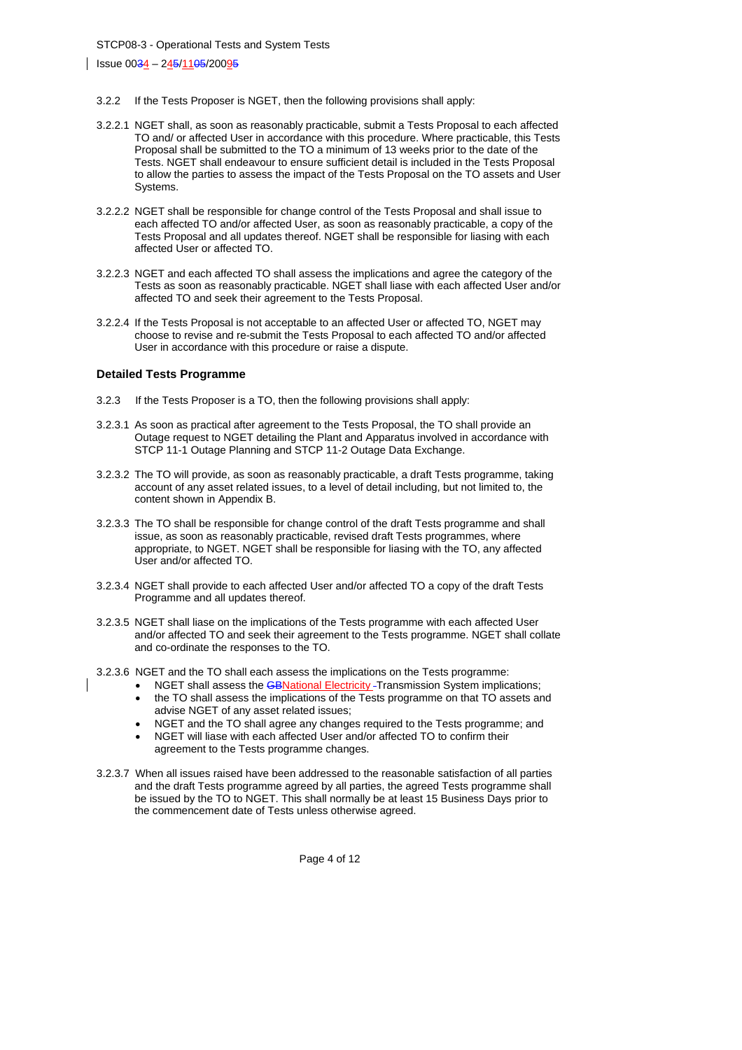Issue 0034 – 245/1105/20095

- 3.2.2 If the Tests Proposer is NGET, then the following provisions shall apply:
- 3.2.2.1 NGET shall, as soon as reasonably practicable, submit a Tests Proposal to each affected TO and/ or affected User in accordance with this procedure. Where practicable, this Tests Proposal shall be submitted to the TO a minimum of 13 weeks prior to the date of the Tests. NGET shall endeavour to ensure sufficient detail is included in the Tests Proposal to allow the parties to assess the impact of the Tests Proposal on the TO assets and User Systems.
- 3.2.2.2 NGET shall be responsible for change control of the Tests Proposal and shall issue to each affected TO and/or affected User, as soon as reasonably practicable, a copy of the Tests Proposal and all updates thereof. NGET shall be responsible for liasing with each affected User or affected TO.
- 3.2.2.3 NGET and each affected TO shall assess the implications and agree the category of the Tests as soon as reasonably practicable. NGET shall liase with each affected User and/or affected TO and seek their agreement to the Tests Proposal.
- 3.2.2.4 If the Tests Proposal is not acceptable to an affected User or affected TO, NGET may choose to revise and re-submit the Tests Proposal to each affected TO and/or affected User in accordance with this procedure or raise a dispute.

#### **Detailed Tests Programme**

- 3.2.3 If the Tests Proposer is a TO, then the following provisions shall apply:
- 3.2.3.1 As soon as practical after agreement to the Tests Proposal, the TO shall provide an Outage request to NGET detailing the Plant and Apparatus involved in accordance with STCP 11-1 Outage Planning and STCP 11-2 Outage Data Exchange.
- 3.2.3.2 The TO will provide, as soon as reasonably practicable, a draft Tests programme, taking account of any asset related issues, to a level of detail including, but not limited to, the content shown in Appendix B.
- 3.2.3.3 The TO shall be responsible for change control of the draft Tests programme and shall issue, as soon as reasonably practicable, revised draft Tests programmes, where appropriate, to NGET. NGET shall be responsible for liasing with the TO, any affected User and/or affected TO.
- 3.2.3.4 NGET shall provide to each affected User and/or affected TO a copy of the draft Tests Programme and all updates thereof.
- 3.2.3.5 NGET shall liase on the implications of the Tests programme with each affected User and/or affected TO and seek their agreement to the Tests programme. NGET shall collate and co-ordinate the responses to the TO.
- 3.2.3.6 NGET and the TO shall each assess the implications on the Tests programme:
	- NGET shall assess the **GBNational Electricity** Transmission System implications;
	- the TO shall assess the implications of the Tests programme on that TO assets and advise NGET of any asset related issues;
	- NGET and the TO shall agree any changes required to the Tests programme; and
	- NGET will liase with each affected User and/or affected TO to confirm their agreement to the Tests programme changes.
- 3.2.3.7 When all issues raised have been addressed to the reasonable satisfaction of all parties and the draft Tests programme agreed by all parties, the agreed Tests programme shall be issued by the TO to NGET. This shall normally be at least 15 Business Days prior to the commencement date of Tests unless otherwise agreed.

Page 4 of 12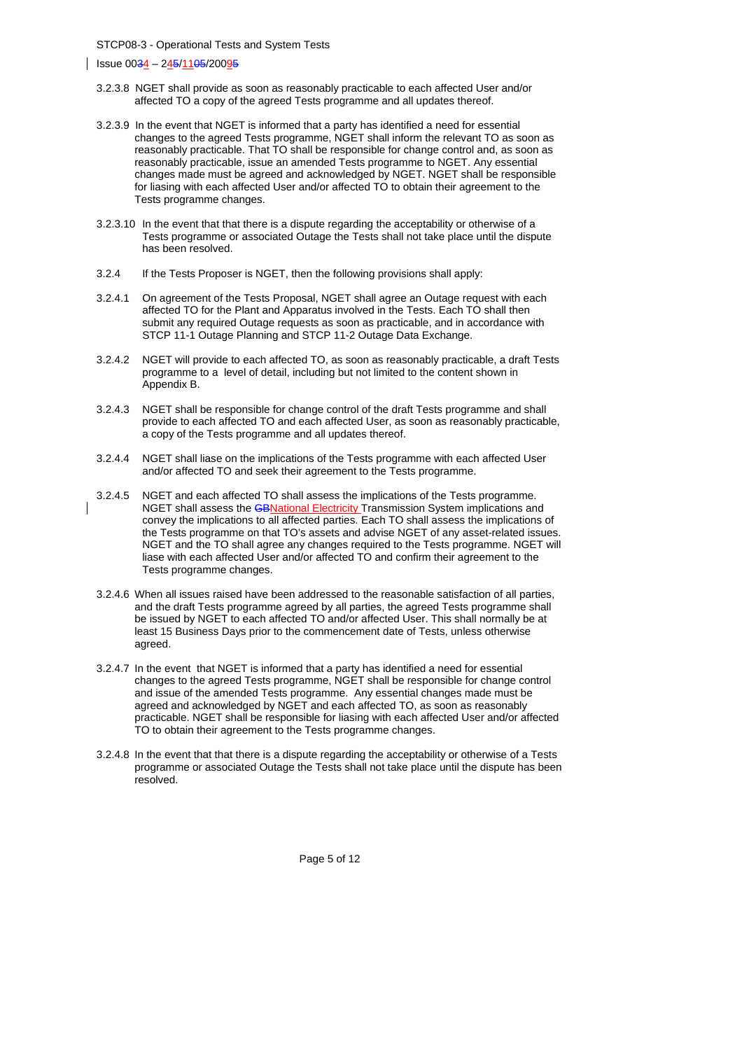Issue 0034 – 245/1105/20095

- 3.2.3.8 NGET shall provide as soon as reasonably practicable to each affected User and/or affected TO a copy of the agreed Tests programme and all updates thereof.
- 3.2.3.9 In the event that NGET is informed that a party has identified a need for essential changes to the agreed Tests programme, NGET shall inform the relevant TO as soon as reasonably practicable. That TO shall be responsible for change control and, as soon as reasonably practicable, issue an amended Tests programme to NGET. Any essential changes made must be agreed and acknowledged by NGET. NGET shall be responsible for liasing with each affected User and/or affected TO to obtain their agreement to the Tests programme changes.
- 3.2.3.10 In the event that that there is a dispute regarding the acceptability or otherwise of a Tests programme or associated Outage the Tests shall not take place until the dispute has been resolved.
- 3.2.4 If the Tests Proposer is NGET, then the following provisions shall apply:
- 3.2.4.1 On agreement of the Tests Proposal, NGET shall agree an Outage request with each affected TO for the Plant and Apparatus involved in the Tests. Each TO shall then submit any required Outage requests as soon as practicable, and in accordance with STCP 11-1 Outage Planning and STCP 11-2 Outage Data Exchange.
- 3.2.4.2 NGET will provide to each affected TO, as soon as reasonably practicable, a draft Tests programme to a level of detail, including but not limited to the content shown in Appendix B.
- 3.2.4.3 NGET shall be responsible for change control of the draft Tests programme and shall provide to each affected TO and each affected User, as soon as reasonably practicable, a copy of the Tests programme and all updates thereof.
- 3.2.4.4 NGET shall liase on the implications of the Tests programme with each affected User and/or affected TO and seek their agreement to the Tests programme.
- 3.2.4.5 NGET and each affected TO shall assess the implications of the Tests programme. NGET shall assess the GBNational Electricity Transmission System implications and convey the implications to all affected parties. Each TO shall assess the implications of the Tests programme on that TO's assets and advise NGET of any asset-related issues. NGET and the TO shall agree any changes required to the Tests programme. NGET will liase with each affected User and/or affected TO and confirm their agreement to the Tests programme changes.
- 3.2.4.6 When all issues raised have been addressed to the reasonable satisfaction of all parties, and the draft Tests programme agreed by all parties, the agreed Tests programme shall be issued by NGET to each affected TO and/or affected User. This shall normally be at least 15 Business Days prior to the commencement date of Tests, unless otherwise agreed.
- 3.2.4.7 In the event that NGET is informed that a party has identified a need for essential changes to the agreed Tests programme, NGET shall be responsible for change control and issue of the amended Tests programme. Any essential changes made must be agreed and acknowledged by NGET and each affected TO, as soon as reasonably practicable. NGET shall be responsible for liasing with each affected User and/or affected TO to obtain their agreement to the Tests programme changes.
- 3.2.4.8 In the event that that there is a dispute regarding the acceptability or otherwise of a Tests programme or associated Outage the Tests shall not take place until the dispute has been resolved.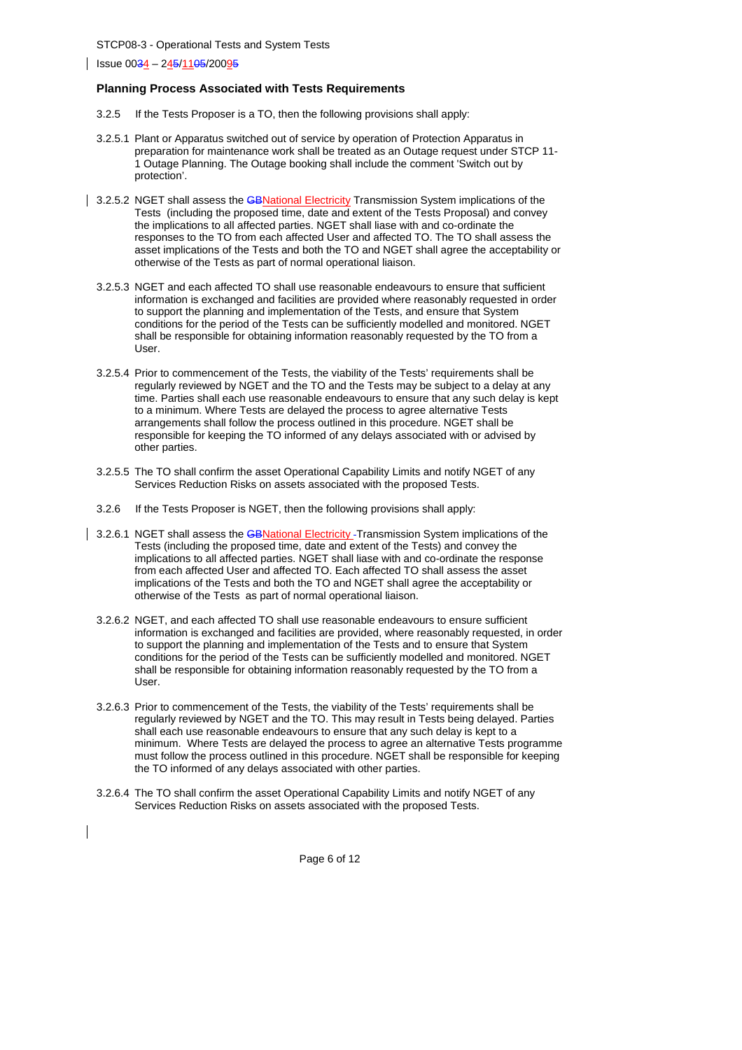Issue 0034 – 245/1105/20095

#### **Planning Process Associated with Tests Requirements**

- 3.2.5 If the Tests Proposer is a TO, then the following provisions shall apply:
- 3.2.5.1 Plant or Apparatus switched out of service by operation of Protection Apparatus in preparation for maintenance work shall be treated as an Outage request under STCP 11- 1 Outage Planning. The Outage booking shall include the comment 'Switch out by protection'.
- 3.2.5.2 NGET shall assess the **GBNational Electricity** Transmission System implications of the Tests (including the proposed time, date and extent of the Tests Proposal) and convey the implications to all affected parties. NGET shall liase with and co-ordinate the responses to the TO from each affected User and affected TO. The TO shall assess the asset implications of the Tests and both the TO and NGET shall agree the acceptability or otherwise of the Tests as part of normal operational liaison.
	- 3.2.5.3 NGET and each affected TO shall use reasonable endeavours to ensure that sufficient information is exchanged and facilities are provided where reasonably requested in order to support the planning and implementation of the Tests, and ensure that System conditions for the period of the Tests can be sufficiently modelled and monitored. NGET shall be responsible for obtaining information reasonably requested by the TO from a User.
	- 3.2.5.4 Prior to commencement of the Tests, the viability of the Tests' requirements shall be regularly reviewed by NGET and the TO and the Tests may be subject to a delay at any time. Parties shall each use reasonable endeavours to ensure that any such delay is kept to a minimum. Where Tests are delayed the process to agree alternative Tests arrangements shall follow the process outlined in this procedure. NGET shall be responsible for keeping the TO informed of any delays associated with or advised by other parties.
	- 3.2.5.5 The TO shall confirm the asset Operational Capability Limits and notify NGET of any Services Reduction Risks on assets associated with the proposed Tests.
	- 3.2.6 If the Tests Proposer is NGET, then the following provisions shall apply:
- 3.2.6.1 NGET shall assess the GBNational Electricity Transmission System implications of the Tests (including the proposed time, date and extent of the Tests) and convey the implications to all affected parties. NGET shall liase with and co-ordinate the response from each affected User and affected TO. Each affected TO shall assess the asset implications of the Tests and both the TO and NGET shall agree the acceptability or otherwise of the Tests as part of normal operational liaison.
- 3.2.6.2 NGET, and each affected TO shall use reasonable endeavours to ensure sufficient information is exchanged and facilities are provided, where reasonably requested, in order to support the planning and implementation of the Tests and to ensure that System conditions for the period of the Tests can be sufficiently modelled and monitored. NGET shall be responsible for obtaining information reasonably requested by the TO from a User.
- 3.2.6.3 Prior to commencement of the Tests, the viability of the Tests' requirements shall be regularly reviewed by NGET and the TO. This may result in Tests being delayed. Parties shall each use reasonable endeavours to ensure that any such delay is kept to a minimum. Where Tests are delayed the process to agree an alternative Tests programme must follow the process outlined in this procedure. NGET shall be responsible for keeping the TO informed of any delays associated with other parties.
- 3.2.6.4 The TO shall confirm the asset Operational Capability Limits and notify NGET of any Services Reduction Risks on assets associated with the proposed Tests.

Page 6 of 12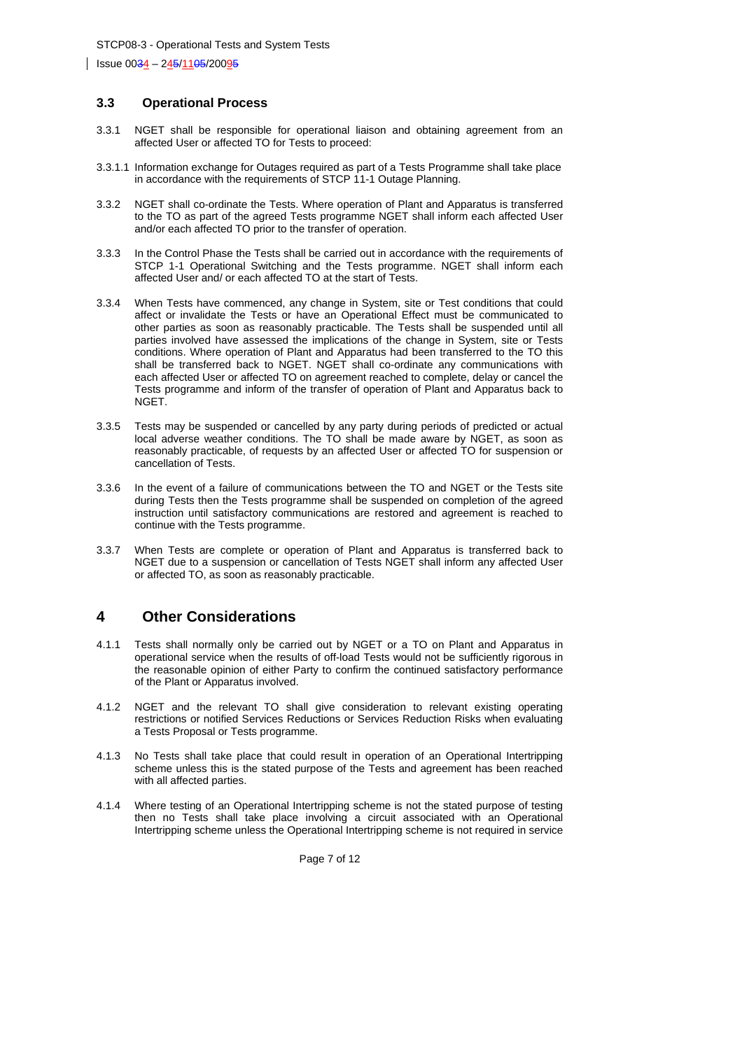### **3.3 Operational Process**

- 3.3.1 NGET shall be responsible for operational liaison and obtaining agreement from an affected User or affected TO for Tests to proceed:
- 3.3.1.1 Information exchange for Outages required as part of a Tests Programme shall take place in accordance with the requirements of STCP 11-1 Outage Planning.
- 3.3.2 NGET shall co-ordinate the Tests. Where operation of Plant and Apparatus is transferred to the TO as part of the agreed Tests programme NGET shall inform each affected User and/or each affected TO prior to the transfer of operation.
- 3.3.3 In the Control Phase the Tests shall be carried out in accordance with the requirements of STCP 1-1 Operational Switching and the Tests programme. NGET shall inform each affected User and/ or each affected TO at the start of Tests.
- 3.3.4 When Tests have commenced, any change in System, site or Test conditions that could affect or invalidate the Tests or have an Operational Effect must be communicated to other parties as soon as reasonably practicable. The Tests shall be suspended until all parties involved have assessed the implications of the change in System, site or Tests conditions. Where operation of Plant and Apparatus had been transferred to the TO this shall be transferred back to NGET. NGET shall co-ordinate any communications with each affected User or affected TO on agreement reached to complete, delay or cancel the Tests programme and inform of the transfer of operation of Plant and Apparatus back to NGET.
- 3.3.5 Tests may be suspended or cancelled by any party during periods of predicted or actual local adverse weather conditions. The TO shall be made aware by NGET, as soon as reasonably practicable, of requests by an affected User or affected TO for suspension or cancellation of Tests.
- 3.3.6 In the event of a failure of communications between the TO and NGET or the Tests site during Tests then the Tests programme shall be suspended on completion of the agreed instruction until satisfactory communications are restored and agreement is reached to continue with the Tests programme.
- 3.3.7 When Tests are complete or operation of Plant and Apparatus is transferred back to NGET due to a suspension or cancellation of Tests NGET shall inform any affected User or affected TO, as soon as reasonably practicable.

# **4 Other Considerations**

- 4.1.1 Tests shall normally only be carried out by NGET or a TO on Plant and Apparatus in operational service when the results of off-load Tests would not be sufficiently rigorous in the reasonable opinion of either Party to confirm the continued satisfactory performance of the Plant or Apparatus involved.
- 4.1.2 NGET and the relevant TO shall give consideration to relevant existing operating restrictions or notified Services Reductions or Services Reduction Risks when evaluating a Tests Proposal or Tests programme.
- 4.1.3 No Tests shall take place that could result in operation of an Operational Intertripping scheme unless this is the stated purpose of the Tests and agreement has been reached with all affected parties.
- 4.1.4 Where testing of an Operational Intertripping scheme is not the stated purpose of testing then no Tests shall take place involving a circuit associated with an Operational Intertripping scheme unless the Operational Intertripping scheme is not required in service

Page 7 of 12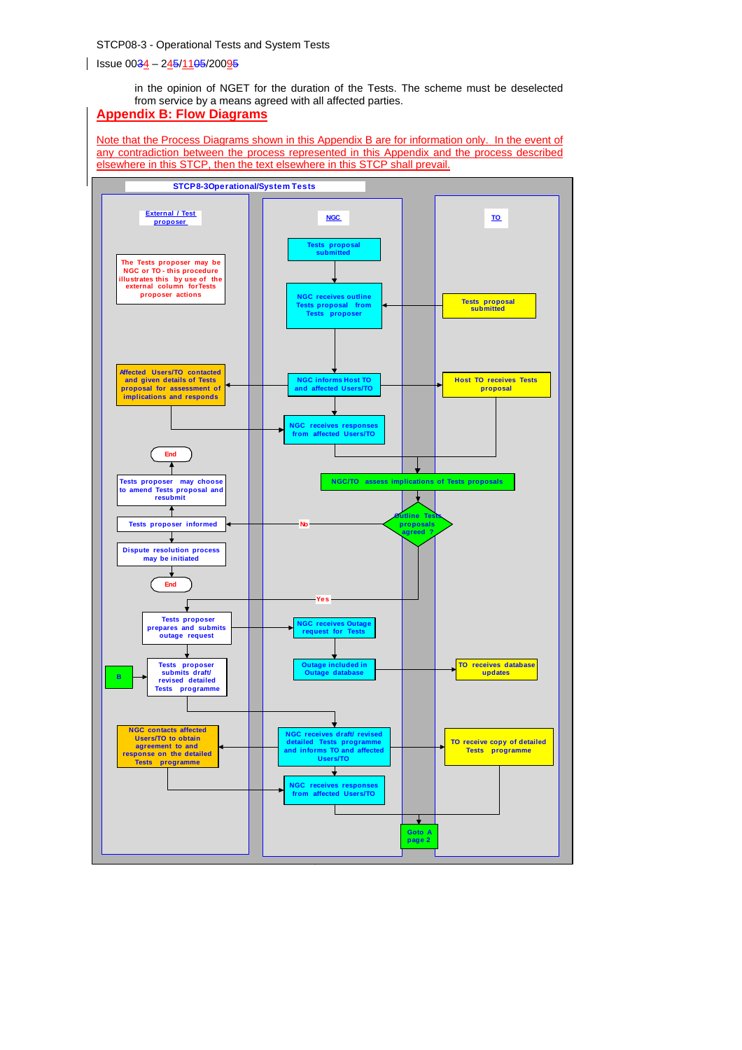in the opinion of NGET for the duration of the Tests. The scheme must be deselected from service by a means agreed with all affected parties.

# **Appendix B: Flow Diagrams**

Note that the Process Diagrams shown in this Appendix B are for information only. In the event of any contradiction between the process represented in this Appendix and the process described elsewhere in this STCP, then the text elsewhere in this STCP shall prevail.

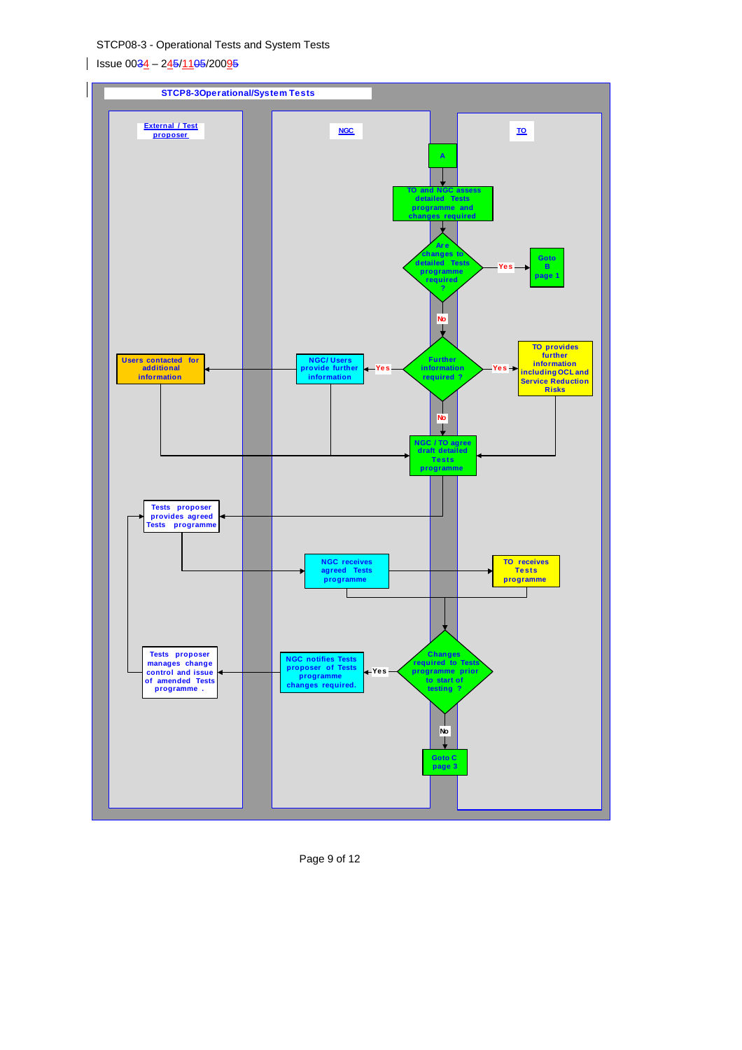$\frac{1}{1}$  Issue 0034 – 245/1105/20095



Page 9 of 12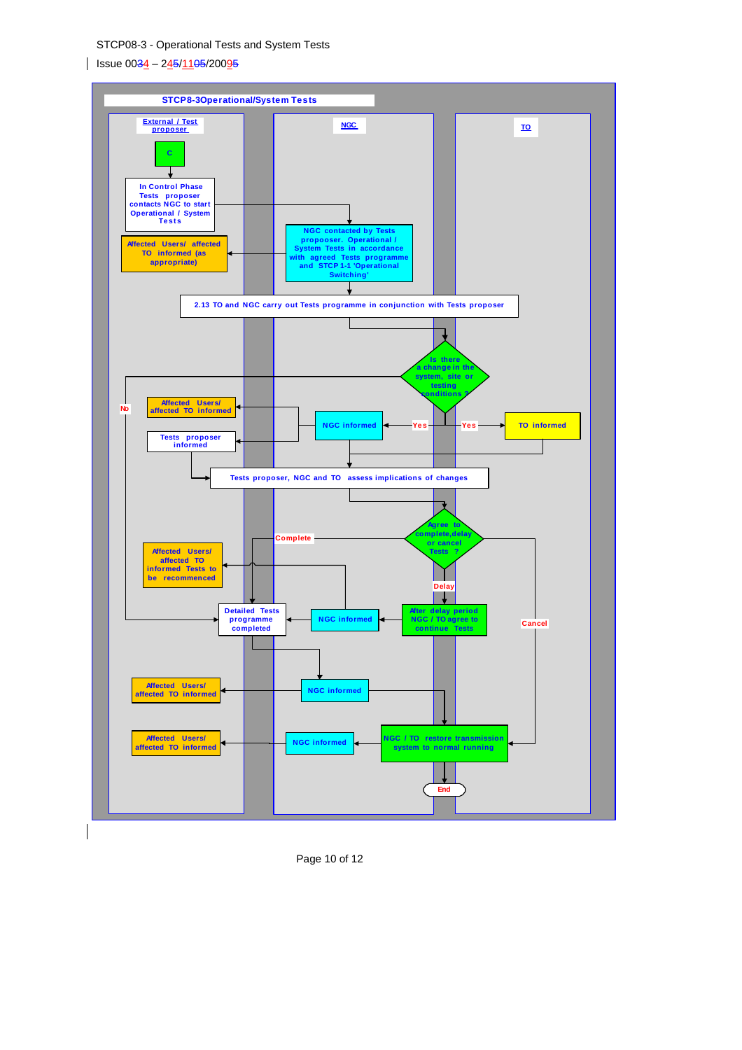$\vert$  Issue 0034 – 245/1105/20095



Page 10 of 12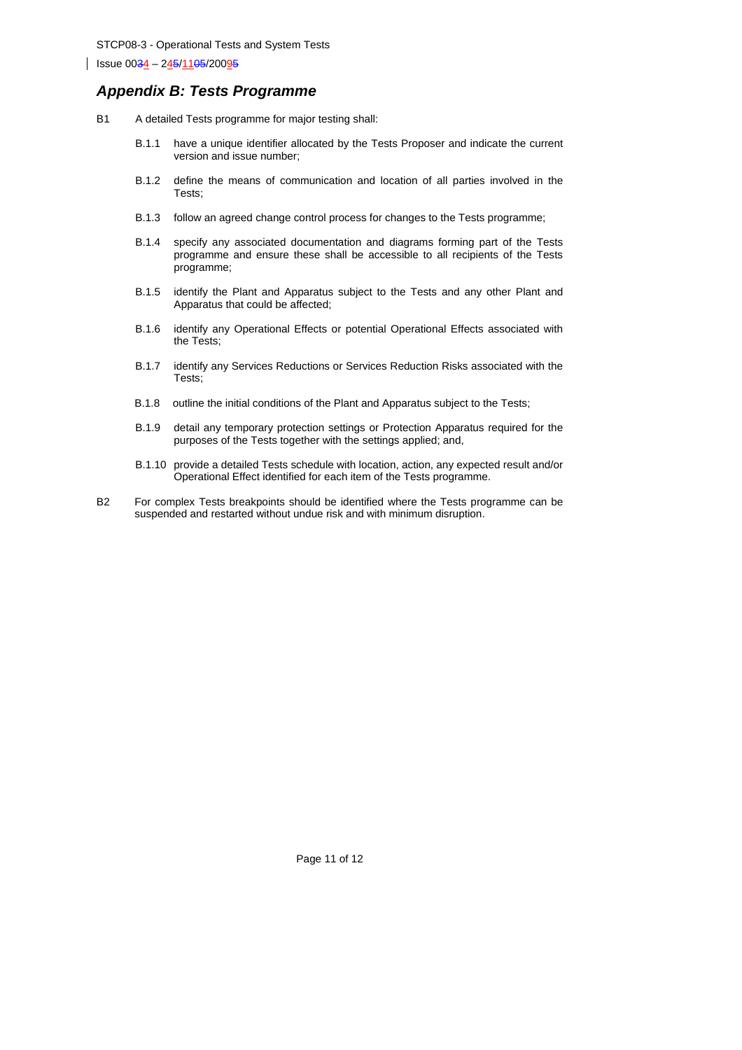## *Appendix B: Tests Programme*

- B1 A detailed Tests programme for major testing shall:
	- B.1.1 have a unique identifier allocated by the Tests Proposer and indicate the current version and issue number;
	- B.1.2 define the means of communication and location of all parties involved in the Tests;
	- B.1.3 follow an agreed change control process for changes to the Tests programme;
	- B.1.4 specify any associated documentation and diagrams forming part of the Tests programme and ensure these shall be accessible to all recipients of the Tests programme;
	- B.1.5 identify the Plant and Apparatus subject to the Tests and any other Plant and Apparatus that could be affected;
	- B.1.6 identify any Operational Effects or potential Operational Effects associated with the Tests;
	- B.1.7 identify any Services Reductions or Services Reduction Risks associated with the Tests;
	- B.1.8 outline the initial conditions of the Plant and Apparatus subject to the Tests;
	- B.1.9 detail any temporary protection settings or Protection Apparatus required for the purposes of the Tests together with the settings applied; and,
	- B.1.10 provide a detailed Tests schedule with location, action, any expected result and/or Operational Effect identified for each item of the Tests programme.
- B2 For complex Tests breakpoints should be identified where the Tests programme can be suspended and restarted without undue risk and with minimum disruption.